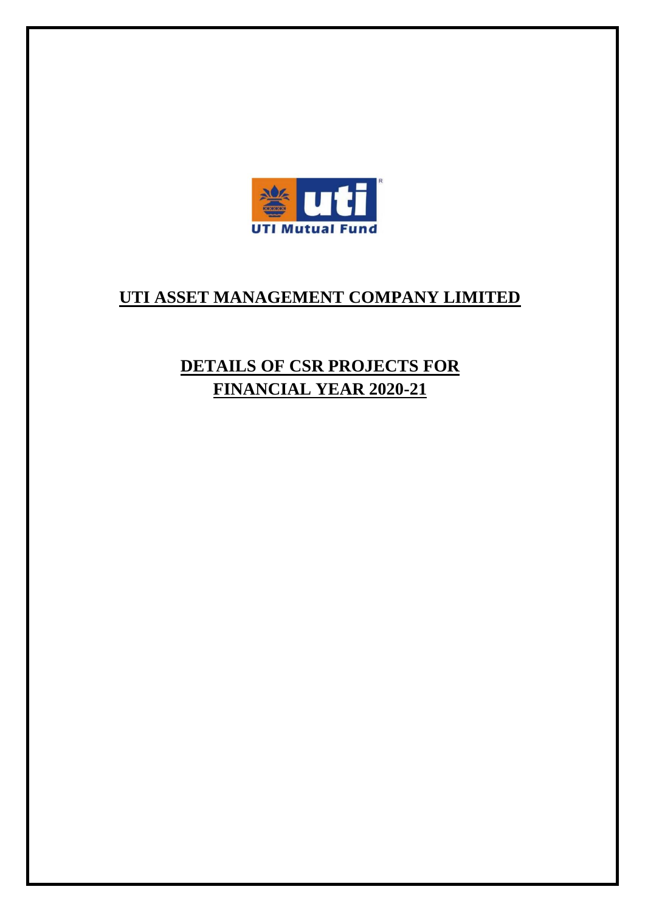

# **UTI ASSET MANAGEMENT COMPANY LIMITED**

# **DETAILS OF CSR PROJECTS FOR FINANCIAL YEAR 2020-21**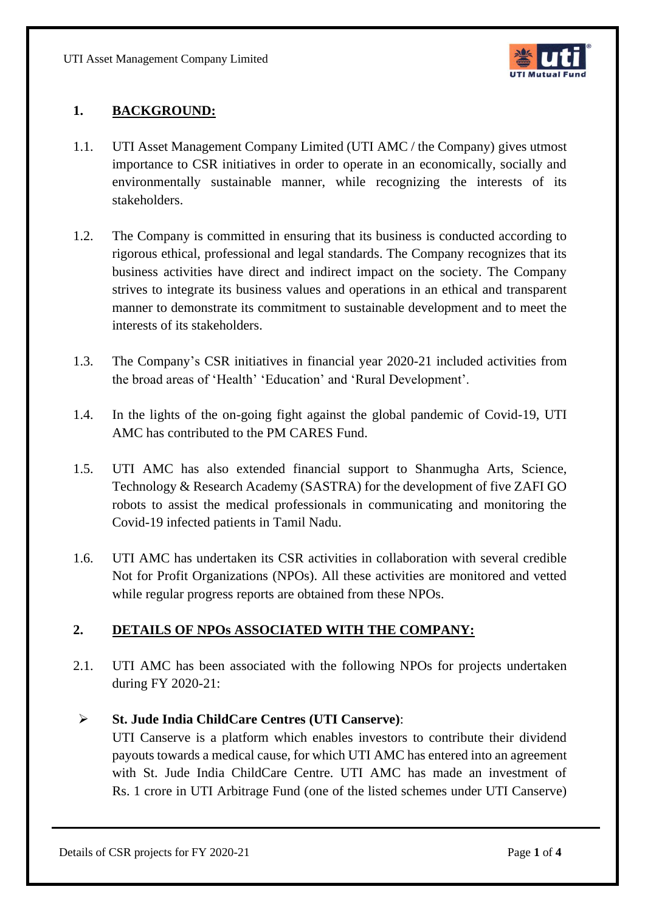UTI Asset Management Company Limited



## **1. BACKGROUND:**

- 1.1. UTI Asset Management Company Limited (UTI AMC / the Company) gives utmost importance to CSR initiatives in order to operate in an economically, socially and environmentally sustainable manner, while recognizing the interests of its stakeholders.
- 1.2. The Company is committed in ensuring that its business is conducted according to rigorous ethical, professional and legal standards. The Company recognizes that its business activities have direct and indirect impact on the society. The Company strives to integrate its business values and operations in an ethical and transparent manner to demonstrate its commitment to sustainable development and to meet the interests of its stakeholders.
- 1.3. The Company's CSR initiatives in financial year 2020-21 included activities from the broad areas of 'Health' 'Education' and 'Rural Development'.
- 1.4. In the lights of the on-going fight against the global pandemic of Covid-19, UTI AMC has contributed to the PM CARES Fund.
- 1.5. UTI AMC has also extended financial support to Shanmugha Arts, Science, Technology & Research Academy (SASTRA) for the development of five ZAFI GO robots to assist the medical professionals in communicating and monitoring the Covid-19 infected patients in Tamil Nadu.
- 1.6. UTI AMC has undertaken its CSR activities in collaboration with several credible Not for Profit Organizations (NPOs). All these activities are monitored and vetted while regular progress reports are obtained from these NPOs.

## **2. DETAILS OF NPOs ASSOCIATED WITH THE COMPANY:**

2.1. UTI AMC has been associated with the following NPOs for projects undertaken during FY 2020-21:

#### ➢ **St. Jude India ChildCare Centres (UTI Canserve)**:

UTI Canserve is a platform which enables investors to contribute their dividend payouts towards a medical cause, for which UTI AMC has entered into an agreement with St. Jude India ChildCare Centre. UTI AMC has made an investment of Rs. 1 crore in UTI Arbitrage Fund (one of the listed schemes under UTI Canserve)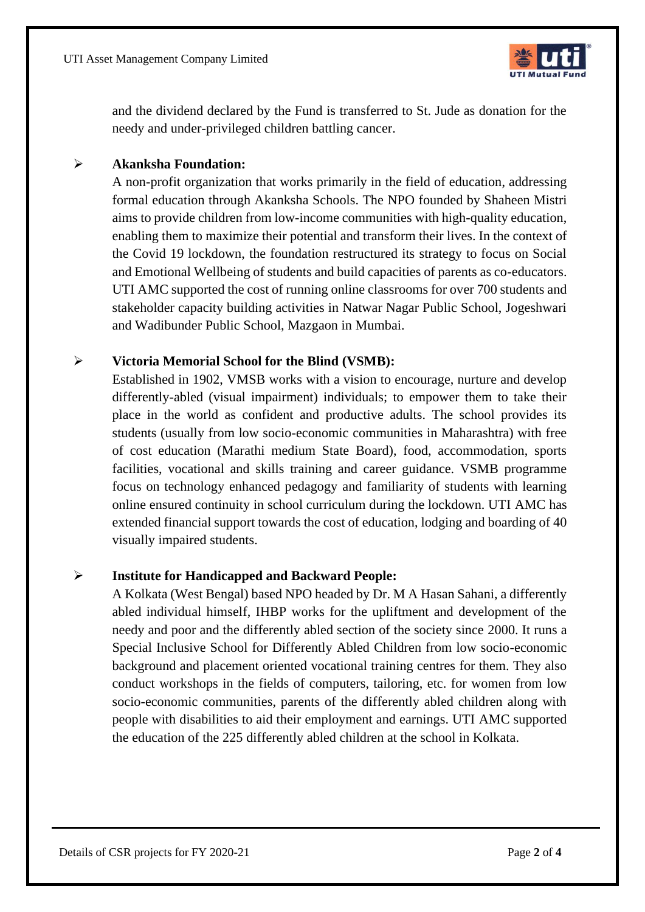UTI Asset Management Company Limited



and the dividend declared by the Fund is transferred to St. Jude as donation for the needy and under-privileged children battling cancer.

#### ➢ **Akanksha Foundation:**

A non-profit organization that works primarily in the field of education, addressing formal education through Akanksha Schools. The NPO founded by Shaheen Mistri aims to provide children from low-income communities with high-quality education, enabling them to maximize their potential and transform their lives. In the context of the Covid 19 lockdown, the foundation restructured its strategy to focus on Social and Emotional Wellbeing of students and build capacities of parents as co-educators. UTI AMC supported the cost of running online classrooms for over 700 students and stakeholder capacity building activities in Natwar Nagar Public School, Jogeshwari and Wadibunder Public School, Mazgaon in Mumbai.

#### ➢ **Victoria Memorial School for the Blind (VSMB):**

Established in 1902, VMSB works with a vision to encourage, nurture and develop differently-abled (visual impairment) individuals; to empower them to take their place in the world as confident and productive adults. The school provides its students (usually from low socio-economic communities in Maharashtra) with free of cost education (Marathi medium State Board), food, accommodation, sports facilities, vocational and skills training and career guidance. VSMB programme focus on technology enhanced pedagogy and familiarity of students with learning online ensured continuity in school curriculum during the lockdown. UTI AMC has extended financial support towards the cost of education, lodging and boarding of 40 visually impaired students.

#### ➢ **Institute for Handicapped and Backward People:**

A Kolkata (West Bengal) based NPO headed by Dr. M A Hasan Sahani, a differently abled individual himself, IHBP works for the upliftment and development of the needy and poor and the differently abled section of the society since 2000. It runs a Special Inclusive School for Differently Abled Children from low socio-economic background and placement oriented vocational training centres for them. They also conduct workshops in the fields of computers, tailoring, etc. for women from low socio-economic communities, parents of the differently abled children along with people with disabilities to aid their employment and earnings. UTI AMC supported the education of the 225 differently abled children at the school in Kolkata.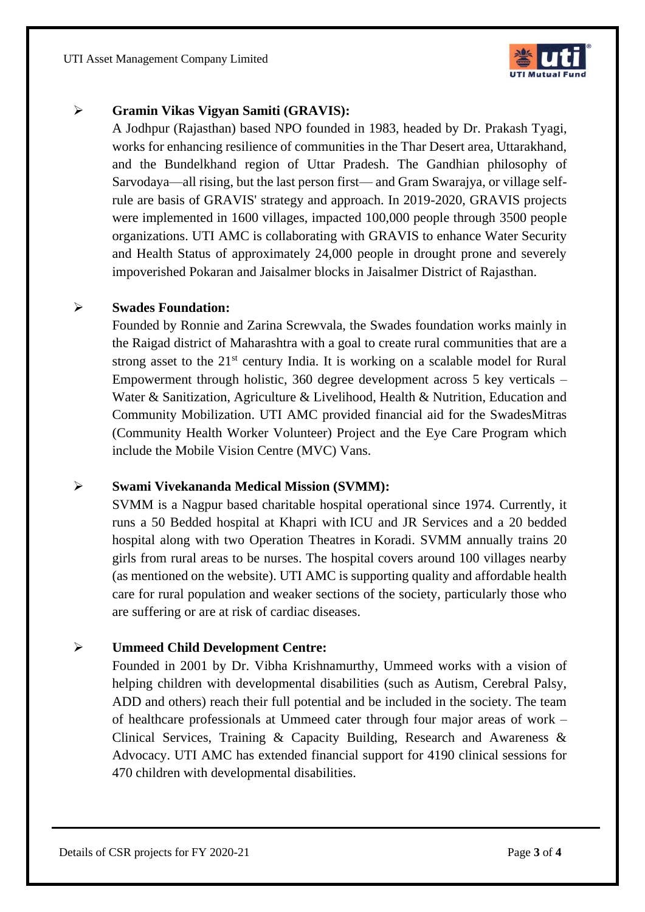UTI Asset Management Company Limited



#### ➢ **Gramin Vikas Vigyan Samiti (GRAVIS):**

A Jodhpur (Rajasthan) based NPO founded in 1983, headed by Dr. Prakash Tyagi, works for enhancing resilience of communities in the Thar Desert area, Uttarakhand, and the Bundelkhand region of Uttar Pradesh. The Gandhian philosophy of Sarvodaya—all rising, but the last person first— and Gram Swarajya, or village selfrule are basis of GRAVIS' strategy and approach. In 2019-2020, GRAVIS projects were implemented in 1600 villages, impacted 100,000 people through 3500 people organizations. UTI AMC is collaborating with GRAVIS to enhance Water Security and Health Status of approximately 24,000 people in drought prone and severely impoverished Pokaran and Jaisalmer blocks in Jaisalmer District of Rajasthan.

#### ➢ **Swades Foundation:**

Founded by Ronnie and Zarina Screwvala, the Swades foundation works mainly in the Raigad district of Maharashtra with a goal to create rural communities that are a strong asset to the  $21<sup>st</sup>$  century India. It is working on a scalable model for Rural Empowerment through holistic, 360 degree development across 5 key verticals – Water & Sanitization, Agriculture & Livelihood, Health & Nutrition, Education and Community Mobilization. UTI AMC provided financial aid for the SwadesMitras (Community Health Worker Volunteer) Project and the Eye Care Program which include the Mobile Vision Centre (MVC) Vans.

#### ➢ **Swami Vivekananda Medical Mission (SVMM):**

SVMM is a Nagpur based charitable hospital operational since 1974. Currently, it runs a 50 Bedded hospital at Khapri with ICU and JR Services and a 20 bedded hospital along with two Operation Theatres in Koradi. SVMM annually trains 20 girls from rural areas to be nurses. The hospital covers around 100 villages nearby (as mentioned on the website). UTI AMC is supporting quality and affordable health care for rural population and weaker sections of the society, particularly those who are suffering or are at risk of cardiac diseases.

#### ➢ **Ummeed Child Development Centre:**

Founded in 2001 by Dr. Vibha Krishnamurthy, Ummeed works with a vision of helping children with developmental disabilities (such as Autism, Cerebral Palsy, ADD and others) reach their full potential and be included in the society. The team of healthcare professionals at Ummeed cater through four major areas of work – Clinical Services, Training & Capacity Building, Research and Awareness & Advocacy. UTI AMC has extended financial support for 4190 clinical sessions for 470 children with developmental disabilities.